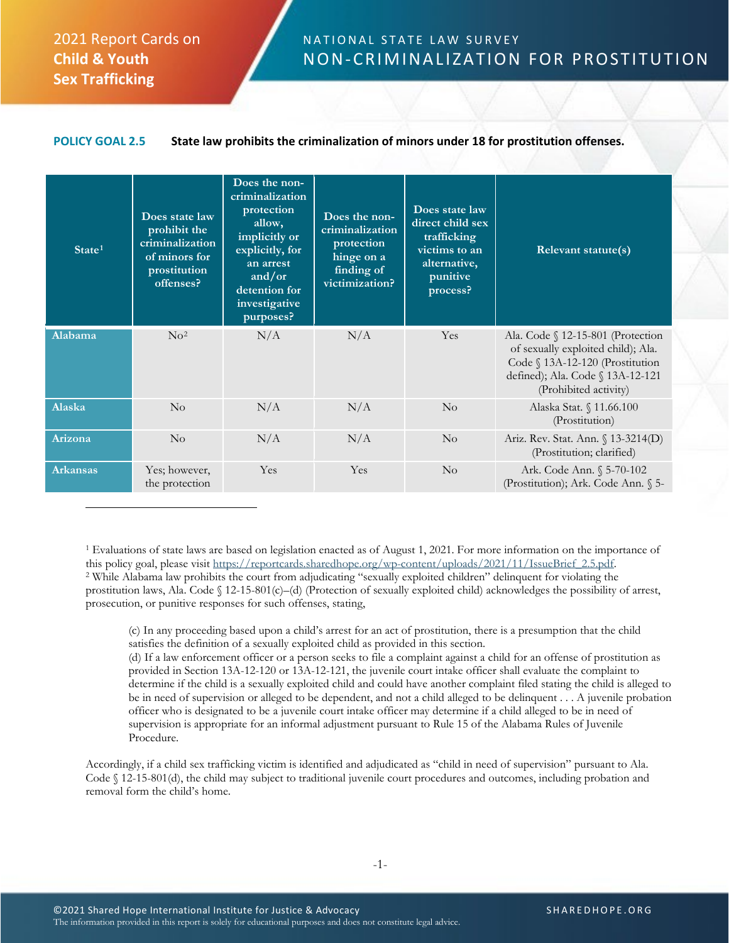## 2021 Report Cards on **Child & Youth Sex Trafficking**

 $\overline{a}$ 

## NATIONAL STATE LAW SURVEY NON-CRIMINALIZATION FOR PROSTITUTION

## **POLICY GOAL 2.5 State law prohibits the criminalization of minors under 18 for prostitution offenses.**

| State <sup>1</sup> | Does state law<br>prohibit the<br>criminalization<br>of minors for<br>prostitution<br>offenses? | Does the non-<br>criminalization<br>protection<br>allow,<br>implicitly or<br>explicitly, for<br>an arrest<br>and/or<br>detention for<br>investigative<br>purposes? | Does the non-<br>criminalization<br>protection<br>hinge on a<br>finding of<br>victimization? | Does state law<br>direct child sex<br>trafficking<br>victims to an<br>alternative,<br>punitive<br>process? | <b>Relevant statute(s)</b>                                                                                                                                              |
|--------------------|-------------------------------------------------------------------------------------------------|--------------------------------------------------------------------------------------------------------------------------------------------------------------------|----------------------------------------------------------------------------------------------|------------------------------------------------------------------------------------------------------------|-------------------------------------------------------------------------------------------------------------------------------------------------------------------------|
| Alabama            | $\rm No^2$                                                                                      | N/A                                                                                                                                                                | N/A                                                                                          | Yes                                                                                                        | Ala. Code § 12-15-801 (Protection<br>of sexually exploited child); Ala.<br>Code § 13A-12-120 (Prostitution<br>defined); Ala. Code § 13A-12-121<br>(Prohibited activity) |
| Alaska             | No                                                                                              | N/A                                                                                                                                                                | N/A                                                                                          | $\overline{N}_{O}$                                                                                         | Alaska Stat. § 11.66.100<br>(Prostitution)                                                                                                                              |
| Arizona            | $\overline{N}_{0}$                                                                              | N/A                                                                                                                                                                | N/A                                                                                          | $\rm No$                                                                                                   | Ariz. Rev. Stat. Ann. § 13-3214(D)<br>(Prostitution; clarified)                                                                                                         |
| <b>Arkansas</b>    | Yes; however,<br>the protection                                                                 | Yes                                                                                                                                                                | Yes                                                                                          | $\rm No$                                                                                                   | Ark. Code Ann. § 5-70-102<br>(Prostitution); Ark. Code Ann. § 5-                                                                                                        |

<span id="page-0-1"></span><span id="page-0-0"></span><sup>1</sup> Evaluations of state laws are based on legislation enacted as of August 1, 2021. For more information on the importance of this policy goal, please visit https://reportcards.sharedhope.org/wp-content/uploads/2021/11/Is <sup>2</sup> While Alabama law prohibits the court from adjudicating "sexually exploited children" delinquent for violating the prostitution laws, Ala. Code  $\S$  12-15-801(c)–(d) (Protection of sexually exploited child) acknowledges the possibility of arrest, prosecution, or punitive responses for such offenses, stating,

(c) In any proceeding based upon a child's arrest for an act of prostitution, there is a presumption that the child satisfies the definition of a sexually exploited child as provided in this section.

(d) If a law enforcement officer or a person seeks to file a complaint against a child for an offense of prostitution as provided in Section 13A-12-120 or 13A-12-121, the juvenile court intake officer shall evaluate the complaint to determine if the child is a sexually exploited child and could have another complaint filed stating the child is alleged to be in need of supervision or alleged to be dependent, and not a child alleged to be delinquent . . . A juvenile probation officer who is designated to be a juvenile court intake officer may determine if a child alleged to be in need of supervision is appropriate for an informal adjustment pursuant to Rule 15 of the Alabama Rules of Juvenile Procedure.

Accordingly, if a child sex trafficking victim is identified and adjudicated as "child in need of supervision" pursuant to Ala. Code § 12-15-801(d), the child may subject to traditional juvenile court procedures and outcomes, including probation and removal form the child's home.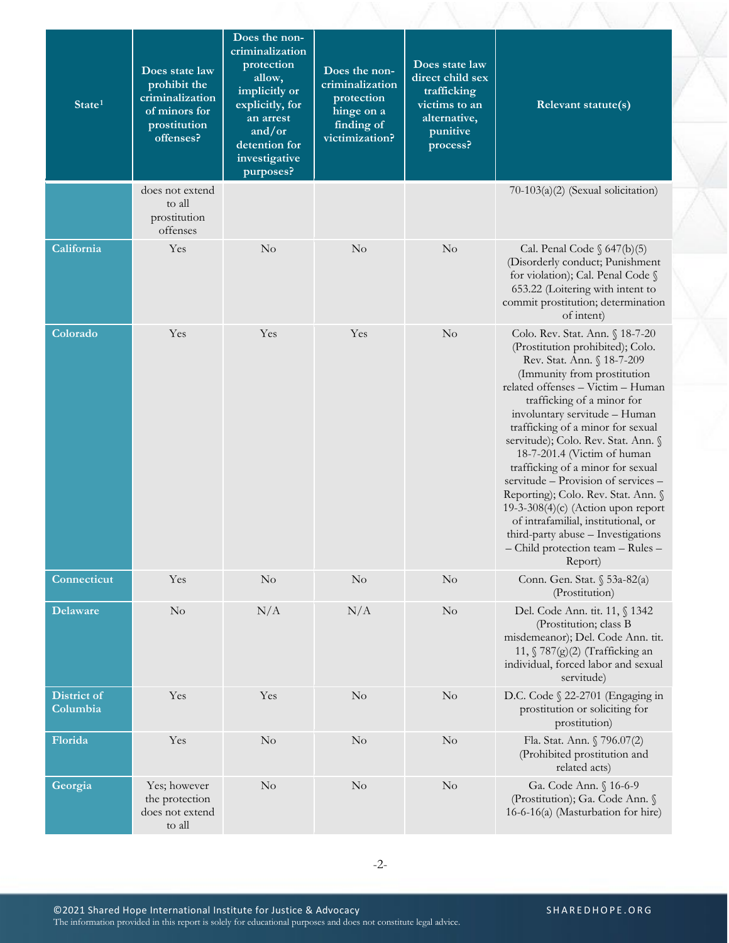| State <sup>1</sup>      | Does state law<br>prohibit the<br>criminalization<br>of minors for<br>prostitution<br>offenses? | Does the non-<br>criminalization<br>protection<br>allow,<br>implicitly or<br>explicitly, for<br>an arrest<br>and/or<br>detention for<br>investigative<br>purposes? | Does the non-<br>criminalization<br>protection<br>hinge on a<br>finding of<br>victimization? | Does state law<br>direct child sex<br>trafficking<br>victims to an<br>alternative,<br>punitive<br>process? | Relevant statute(s)                                                                                                                                                                                                                                                                                                                                                                                                                                                                                                                                                                                                                      |
|-------------------------|-------------------------------------------------------------------------------------------------|--------------------------------------------------------------------------------------------------------------------------------------------------------------------|----------------------------------------------------------------------------------------------|------------------------------------------------------------------------------------------------------------|------------------------------------------------------------------------------------------------------------------------------------------------------------------------------------------------------------------------------------------------------------------------------------------------------------------------------------------------------------------------------------------------------------------------------------------------------------------------------------------------------------------------------------------------------------------------------------------------------------------------------------------|
|                         | does not extend<br>to all<br>prostitution<br>offenses                                           |                                                                                                                                                                    |                                                                                              |                                                                                                            | 70-103(a)(2) (Sexual solicitation)                                                                                                                                                                                                                                                                                                                                                                                                                                                                                                                                                                                                       |
| California              | Yes                                                                                             | No                                                                                                                                                                 | No                                                                                           | $\rm No$                                                                                                   | Cal. Penal Code $\S$ 647(b)(5)<br>(Disorderly conduct; Punishment<br>for violation); Cal. Penal Code §<br>653.22 (Loitering with intent to<br>commit prostitution; determination<br>of intent)                                                                                                                                                                                                                                                                                                                                                                                                                                           |
| Colorado                | Yes                                                                                             | Yes                                                                                                                                                                | Yes                                                                                          | $\rm No$                                                                                                   | Colo. Rev. Stat. Ann. § 18-7-20<br>(Prostitution prohibited); Colo.<br>Rev. Stat. Ann. § 18-7-209<br>(Immunity from prostitution<br>related offenses - Victim - Human<br>trafficking of a minor for<br>involuntary servitude - Human<br>trafficking of a minor for sexual<br>servitude); Colo. Rev. Stat. Ann. §<br>18-7-201.4 (Victim of human<br>trafficking of a minor for sexual<br>servitude - Provision of services -<br>Reporting); Colo. Rev. Stat. Ann. §<br>19-3-308(4) $(c)$ (Action upon report<br>of intrafamilial, institutional, or<br>third-party abuse - Investigations<br>- Child protection team - Rules -<br>Report) |
| Connecticut             | Yes                                                                                             | No                                                                                                                                                                 | No                                                                                           | $\rm No$                                                                                                   | Conn. Gen. Stat. § 53a-82(a)<br>(Prostitution)                                                                                                                                                                                                                                                                                                                                                                                                                                                                                                                                                                                           |
| <b>Delaware</b>         | No                                                                                              | N/A                                                                                                                                                                | N/A                                                                                          | $\rm No$                                                                                                   | Del. Code Ann. tit. 11, § 1342<br>(Prostitution; class B<br>misdemeanor); Del. Code Ann. tit.<br>11, $\sqrt{787(g)(2)}$ (Trafficking an<br>individual, forced labor and sexual<br>servitude)                                                                                                                                                                                                                                                                                                                                                                                                                                             |
| District of<br>Columbia | Yes                                                                                             | Yes                                                                                                                                                                | No                                                                                           | $\rm No$                                                                                                   | D.C. Code § 22-2701 (Engaging in<br>prostitution or soliciting for<br>prostitution)                                                                                                                                                                                                                                                                                                                                                                                                                                                                                                                                                      |
| Florida                 | Yes                                                                                             | No                                                                                                                                                                 | $\rm No$                                                                                     | $\rm No$                                                                                                   | Fla. Stat. Ann. § 796.07(2)<br>(Prohibited prostitution and<br>related acts)                                                                                                                                                                                                                                                                                                                                                                                                                                                                                                                                                             |
| Georgia                 | Yes; however<br>the protection<br>does not extend<br>to all                                     | No                                                                                                                                                                 | $\rm No$                                                                                     | No                                                                                                         | Ga. Code Ann. § 16-6-9<br>(Prostitution); Ga. Code Ann. §<br>16-6-16(a) (Masturbation for hire)                                                                                                                                                                                                                                                                                                                                                                                                                                                                                                                                          |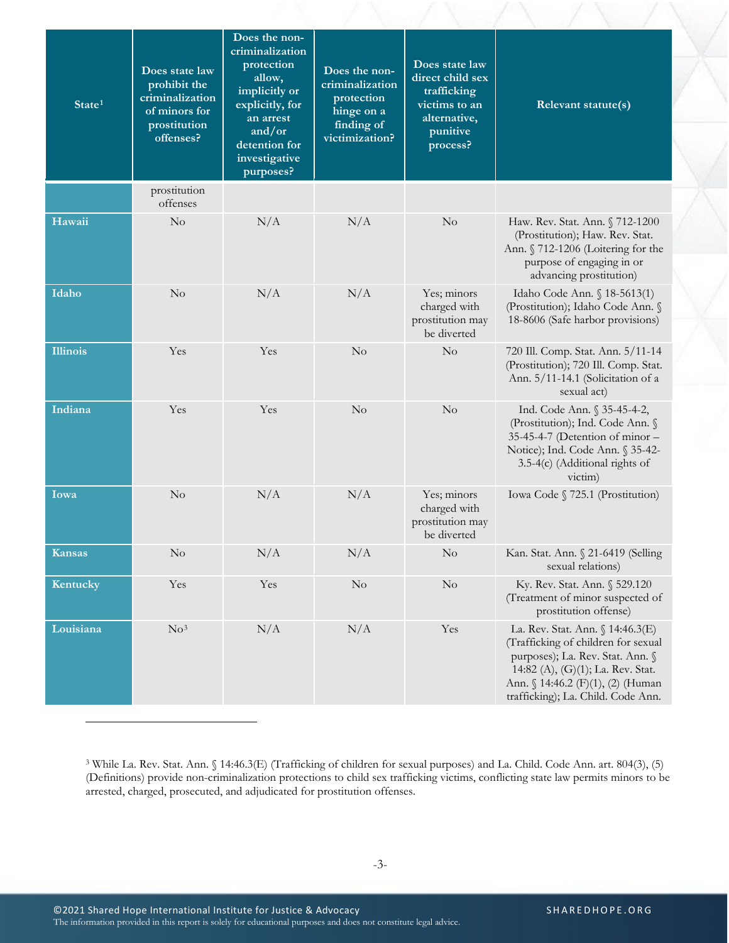| State <sup>1</sup> | Does state law<br>prohibit the<br>criminalization<br>of minors for<br>prostitution<br>offenses? | Does the non-<br>criminalization<br>protection<br>allow,<br>implicitly or<br>explicitly, for<br>an arrest<br>and/or<br>detention for<br>investigative<br>purposes? | Does the non-<br>criminalization<br>protection<br>hinge on a<br>finding of<br>victimization? | Does state law<br>direct child sex<br>trafficking<br>victims to an<br>alternative,<br>punitive<br>process? | Relevant statute(s)                                                                                                                                                                                                         |
|--------------------|-------------------------------------------------------------------------------------------------|--------------------------------------------------------------------------------------------------------------------------------------------------------------------|----------------------------------------------------------------------------------------------|------------------------------------------------------------------------------------------------------------|-----------------------------------------------------------------------------------------------------------------------------------------------------------------------------------------------------------------------------|
|                    | prostitution<br>offenses                                                                        |                                                                                                                                                                    |                                                                                              |                                                                                                            |                                                                                                                                                                                                                             |
| Hawaii             | No                                                                                              | N/A                                                                                                                                                                | N/A                                                                                          | $\rm No$                                                                                                   | Haw. Rev. Stat. Ann. § 712-1200<br>(Prostitution); Haw. Rev. Stat.<br>Ann. § 712-1206 (Loitering for the<br>purpose of engaging in or<br>advancing prostitution)                                                            |
| Idaho              | No                                                                                              | N/A                                                                                                                                                                | N/A                                                                                          | Yes; minors<br>charged with<br>prostitution may<br>be diverted                                             | Idaho Code Ann. § 18-5613(1)<br>(Prostitution); Idaho Code Ann. §<br>18-8606 (Safe harbor provisions)                                                                                                                       |
| <b>Illinois</b>    | Yes                                                                                             | Yes                                                                                                                                                                | No                                                                                           | N <sub>o</sub>                                                                                             | 720 Ill. Comp. Stat. Ann. 5/11-14<br>(Prostitution); 720 Ill. Comp. Stat.<br>Ann. 5/11-14.1 (Solicitation of a<br>sexual act)                                                                                               |
| Indiana            | Yes                                                                                             | Yes                                                                                                                                                                | No                                                                                           | $\rm No$                                                                                                   | Ind. Code Ann. § 35-45-4-2,<br>(Prostitution); Ind. Code Ann. §<br>35-45-4-7 (Detention of minor -<br>Notice); Ind. Code Ann. § 35-42-<br>3.5-4(c) (Additional rights of<br>victim)                                         |
| Iowa               | $\rm No$                                                                                        | N/A                                                                                                                                                                | N/A                                                                                          | Yes; minors<br>charged with<br>prostitution may<br>be diverted                                             | Iowa Code § 725.1 (Prostitution)                                                                                                                                                                                            |
| <b>Kansas</b>      | No.                                                                                             | N/A                                                                                                                                                                | N/A                                                                                          | N <sub>o</sub>                                                                                             | Kan. Stat. Ann. § 21-6419 (Selling<br>sexual relations)                                                                                                                                                                     |
| Kentucky           | Yes                                                                                             | Yes                                                                                                                                                                | $\rm No$                                                                                     | $\rm No$                                                                                                   | Ky. Rev. Stat. Ann. § 529.120<br>(Treatment of minor suspected of<br>prostitution offense)                                                                                                                                  |
| Louisiana          | No <sup>3</sup>                                                                                 | N/A                                                                                                                                                                | N/A                                                                                          | Yes                                                                                                        | La. Rev. Stat. Ann. § 14:46.3(E)<br>(Trafficking of children for sexual<br>purposes); La. Rev. Stat. Ann. §<br>14:82 (A), (G)(1); La. Rev. Stat.<br>Ann. § 14:46.2 (F)(1), (2) (Human<br>trafficking); La. Child. Code Ann. |

<span id="page-2-0"></span>3 While La. Rev. Stat. Ann. § 14:46.3(E) (Trafficking of children for sexual purposes) and La. Child. Code Ann. art. 804(3), (5) (Definitions) provide non-criminalization protections to child sex trafficking victims, conflicting state law permits minors to be arrested, charged, prosecuted, and adjudicated for prostitution offenses.

 $\overline{a}$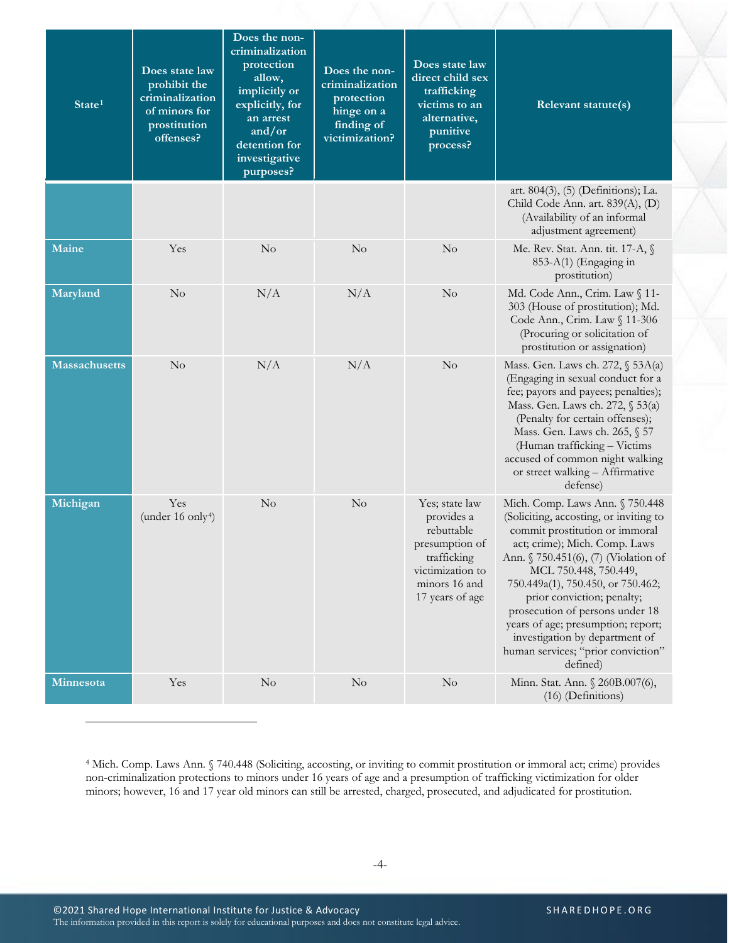| State <sup>1</sup>   | Does state law<br>prohibit the<br>criminalization<br>of minors for | Does the non-<br>criminalization<br>protection<br>allow,<br>implicitly or<br>explicitly, for<br>an arrest | Does the non-<br>criminalization<br>protection<br>hinge on a | Does state law<br>direct child sex<br>trafficking<br>victims to an<br>alternative,                                                  | Relevant statute(s)                                                                                                                                                                                                                                                                                                                                                                                                                           |
|----------------------|--------------------------------------------------------------------|-----------------------------------------------------------------------------------------------------------|--------------------------------------------------------------|-------------------------------------------------------------------------------------------------------------------------------------|-----------------------------------------------------------------------------------------------------------------------------------------------------------------------------------------------------------------------------------------------------------------------------------------------------------------------------------------------------------------------------------------------------------------------------------------------|
|                      | prostitution<br>offenses?                                          | and/or<br>detention for<br>investigative<br>purposes?                                                     | finding of<br>victimization?                                 | punitive<br>process?                                                                                                                |                                                                                                                                                                                                                                                                                                                                                                                                                                               |
|                      |                                                                    |                                                                                                           |                                                              |                                                                                                                                     | art. 804(3), (5) (Definitions); La.<br>Child Code Ann. art. 839(A), (D)<br>(Availability of an informal<br>adjustment agreement)                                                                                                                                                                                                                                                                                                              |
| Maine                | Yes                                                                | $\rm No$                                                                                                  | No                                                           | N <sub>o</sub>                                                                                                                      | Me. Rev. Stat. Ann. tit. 17-A, §<br>853-A(1) (Engaging in<br>prostitution)                                                                                                                                                                                                                                                                                                                                                                    |
| Maryland             | $\rm No$                                                           | N/A                                                                                                       | N/A                                                          | No                                                                                                                                  | Md. Code Ann., Crim. Law § 11-<br>303 (House of prostitution); Md.<br>Code Ann., Crim. Law § 11-306<br>(Procuring or solicitation of<br>prostitution or assignation)                                                                                                                                                                                                                                                                          |
| <b>Massachusetts</b> | No                                                                 | N/A                                                                                                       | N/A                                                          | N <sub>o</sub>                                                                                                                      | Mass. Gen. Laws ch. 272, § 53A(a)<br>(Engaging in sexual conduct for a<br>fee; payors and payees; penalties);<br>Mass. Gen. Laws ch. 272, § 53(a)<br>(Penalty for certain offenses);<br>Mass. Gen. Laws ch. 265, § 57<br>(Human trafficking - Victims<br>accused of common night walking<br>or street walking - Affirmative<br>defense)                                                                                                       |
| Michigan             | Yes<br>(under 16 only <sup>4</sup> )                               | No                                                                                                        | No                                                           | Yes; state law<br>provides a<br>rebuttable<br>presumption of<br>trafficking<br>victimization to<br>minors 16 and<br>17 years of age | Mich. Comp. Laws Ann. § 750.448<br>(Soliciting, accosting, or inviting to<br>commit prostitution or immoral<br>act; crime); Mich. Comp. Laws<br>Ann. § 750.451(6), (7) (Violation of<br>MCL 750.448, 750.449,<br>750.449a(1), 750.450, or 750.462;<br>prior conviction; penalty;<br>prosecution of persons under 18<br>years of age; presumption; report;<br>investigation by department of<br>human services; "prior conviction"<br>defined) |
| Minnesota            | Yes                                                                | $\rm No$                                                                                                  | $\rm No$                                                     | No                                                                                                                                  | Minn. Stat. Ann. § 260B.007(6),<br>(16) (Definitions)                                                                                                                                                                                                                                                                                                                                                                                         |

<span id="page-3-0"></span><sup>4</sup> Mich. Comp. Laws Ann. § 740.448 (Soliciting, accosting, or inviting to commit prostitution or immoral act; crime) provides non-criminalization protections to minors under 16 years of age and a presumption of trafficking victimization for older minors; however, 16 and 17 year old minors can still be arrested, charged, prosecuted, and adjudicated for prostitution.

 $\overline{a}$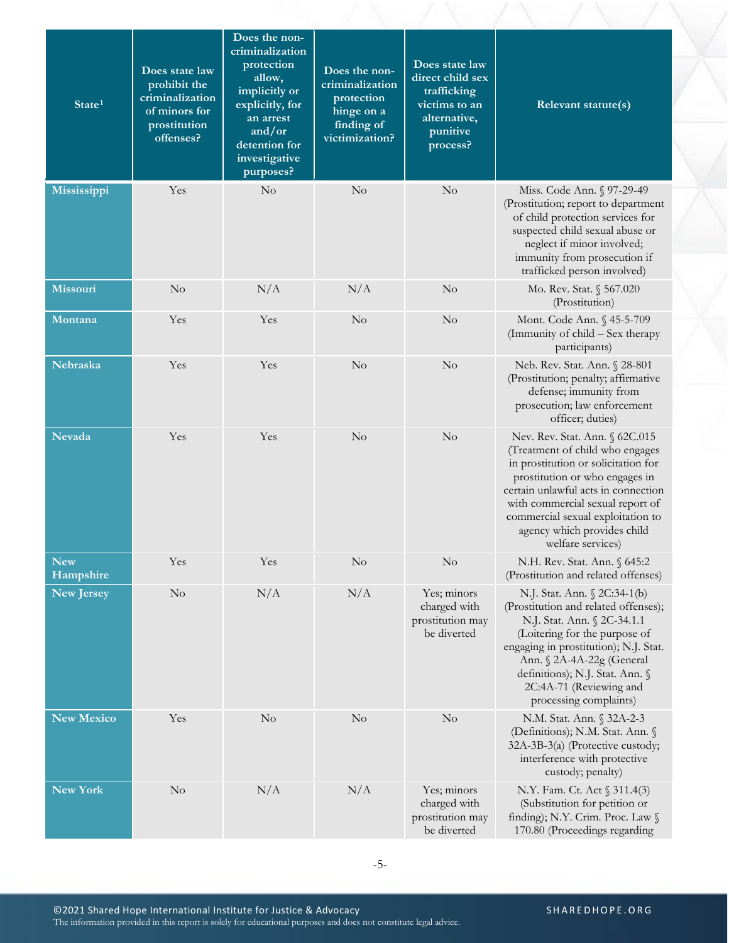| State <sup>1</sup>      | Does state law<br>prohibit the<br>criminalization<br>of minors for<br>prostitution<br>offenses? | Does the non-<br>criminalization<br>protection<br>allow,<br>implicitly or<br>explicitly, for<br>an arrest<br>and/or<br>detention for<br>investigative<br>purposes? | Does the non-<br>criminalization<br>protection<br>hinge on a<br>finding of<br>victimization? | Does state law<br>direct child sex<br>trafficking<br>victims to an<br>alternative,<br>punitive<br>process? | Relevant statute(s)                                                                                                                                                                                                                                                                                            |
|-------------------------|-------------------------------------------------------------------------------------------------|--------------------------------------------------------------------------------------------------------------------------------------------------------------------|----------------------------------------------------------------------------------------------|------------------------------------------------------------------------------------------------------------|----------------------------------------------------------------------------------------------------------------------------------------------------------------------------------------------------------------------------------------------------------------------------------------------------------------|
| Mississippi             | Yes                                                                                             | No                                                                                                                                                                 | No                                                                                           | $\rm No$                                                                                                   | Miss. Code Ann. § 97-29-49<br>(Prostitution; report to department<br>of child protection services for<br>suspected child sexual abuse or<br>neglect if minor involved;<br>immunity from prosecution if<br>trafficked person involved)                                                                          |
| Missouri                | $\rm No$                                                                                        | N/A                                                                                                                                                                | N/A                                                                                          | No                                                                                                         | Mo. Rev. Stat. § 567.020<br>(Prostitution)                                                                                                                                                                                                                                                                     |
| Montana                 | Yes                                                                                             | Yes                                                                                                                                                                | $\rm No$                                                                                     | No                                                                                                         | Mont. Code Ann. § 45-5-709<br>(Immunity of child – Sex therapy<br>participants)                                                                                                                                                                                                                                |
| Nebraska                | Yes                                                                                             | Yes                                                                                                                                                                | No                                                                                           | No                                                                                                         | Neb. Rev. Stat. Ann. § 28-801<br>(Prostitution; penalty; affirmative<br>defense; immunity from<br>prosecution; law enforcement<br>officer; duties)                                                                                                                                                             |
| <b>Nevada</b>           | Yes                                                                                             | Yes                                                                                                                                                                | No                                                                                           | No                                                                                                         | Nev. Rev. Stat. Ann. § 62C.015<br>(Treatment of child who engages<br>in prostitution or solicitation for<br>prostitution or who engages in<br>certain unlawful acts in connection<br>with commercial sexual report of<br>commercial sexual exploitation to<br>agency which provides child<br>welfare services) |
| <b>New</b><br>Hampshire | Yes                                                                                             | Yes                                                                                                                                                                | N <sub>o</sub>                                                                               | $\rm No$                                                                                                   | N.H. Rev. Stat. Ann. § 645:2<br>(Prostitution and related offenses)                                                                                                                                                                                                                                            |
| <b>New Jersey</b>       | $\rm No$                                                                                        | N/A                                                                                                                                                                | N/A                                                                                          | Yes; minors<br>charged with<br>prostitution may<br>be diverted                                             | N.J. Stat. Ann. § 2C:34-1(b)<br>(Prostitution and related offenses);<br>N.J. Stat. Ann. § 2C-34.1.1<br>(Loitering for the purpose of<br>engaging in prostitution); N.J. Stat.<br>Ann. § 2A-4A-22g (General<br>definitions); N.J. Stat. Ann. §<br>2C:4A-71 (Reviewing and<br>processing complaints)             |
| New Mexico              | Yes                                                                                             | $\rm No$                                                                                                                                                           | N <sub>o</sub>                                                                               | $\rm No$                                                                                                   | N.M. Stat. Ann. § 32A-2-3<br>(Definitions); N.M. Stat. Ann. §<br>32A-3B-3(a) (Protective custody;<br>interference with protective<br>custody; penalty)                                                                                                                                                         |
| New York                | $\rm No$                                                                                        | N/A                                                                                                                                                                | N/A                                                                                          | Yes; minors<br>charged with<br>prostitution may<br>be diverted                                             | N.Y. Fam. Ct. Act § 311.4(3)<br>(Substitution for petition or<br>finding); N.Y. Crim. Proc. Law §<br>170.80 (Proceedings regarding                                                                                                                                                                             |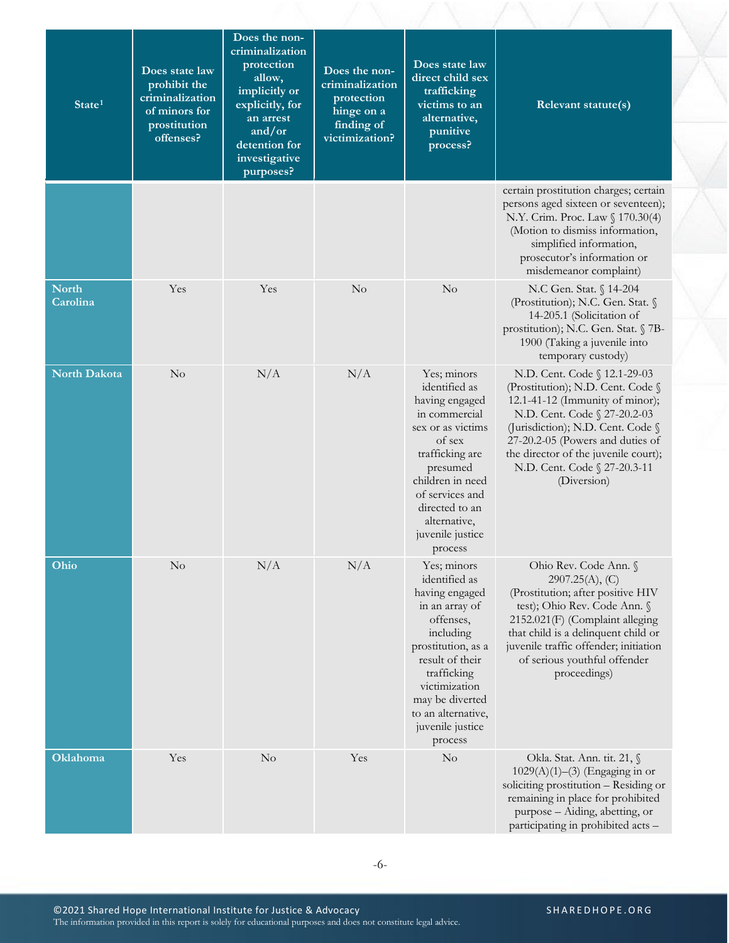| State <sup>1</sup>       | Does state law<br>prohibit the<br>criminalization<br>of minors for<br>prostitution<br>offenses? | Does the non-<br>criminalization<br>protection<br>allow,<br>implicitly or<br>explicitly, for<br>an arrest<br>and/or<br>detention for<br>investigative<br>purposes? | Does the non-<br>criminalization<br>protection<br>hinge on a<br>finding of<br>victimization? | Does state law<br>direct child sex<br>trafficking<br>victims to an<br>alternative,<br>punitive<br>process?                                                                                                                                  | Relevant statute(s)                                                                                                                                                                                                                                                                                  |
|--------------------------|-------------------------------------------------------------------------------------------------|--------------------------------------------------------------------------------------------------------------------------------------------------------------------|----------------------------------------------------------------------------------------------|---------------------------------------------------------------------------------------------------------------------------------------------------------------------------------------------------------------------------------------------|------------------------------------------------------------------------------------------------------------------------------------------------------------------------------------------------------------------------------------------------------------------------------------------------------|
|                          |                                                                                                 |                                                                                                                                                                    |                                                                                              |                                                                                                                                                                                                                                             | certain prostitution charges; certain<br>persons aged sixteen or seventeen);<br>N.Y. Crim. Proc. Law § 170.30(4)<br>(Motion to dismiss information,<br>simplified information,<br>prosecutor's information or<br>misdemeanor complaint)                                                              |
| <b>North</b><br>Carolina | Yes                                                                                             | Yes                                                                                                                                                                | $\rm No$                                                                                     | $\rm No$                                                                                                                                                                                                                                    | N.C Gen. Stat. § 14-204<br>(Prostitution); N.C. Gen. Stat. §<br>14-205.1 (Solicitation of<br>prostitution); N.C. Gen. Stat. § 7B-<br>1900 (Taking a juvenile into<br>temporary custody)                                                                                                              |
| <b>North Dakota</b>      | $\rm No$                                                                                        | N/A                                                                                                                                                                | N/A                                                                                          | Yes; minors<br>identified as<br>having engaged<br>in commercial<br>sex or as victims<br>of sex<br>trafficking are<br>presumed<br>children in need<br>of services and<br>directed to an<br>alternative,<br>juvenile justice<br>process       | N.D. Cent. Code § 12.1-29-03<br>(Prostitution); N.D. Cent. Code §<br>12.1-41-12 (Immunity of minor);<br>N.D. Cent. Code § 27-20.2-03<br>(Jurisdiction); N.D. Cent. Code §<br>27-20.2-05 (Powers and duties of<br>the director of the juvenile court);<br>N.D. Cent. Code § 27-20.3-11<br>(Diversion) |
| Ohio                     | $\rm No$                                                                                        | N/A                                                                                                                                                                | N/A                                                                                          | Yes; minors<br>identified as<br>having engaged<br>in an array of<br>offenses,<br>including<br>prostitution, as a<br>result of their<br>trafficking<br>victimization<br>may be diverted<br>to an alternative,<br>juvenile justice<br>process | Ohio Rev. Code Ann. §<br>2907.25(A), (C)<br>(Prostitution; after positive HIV<br>test); Ohio Rev. Code Ann. §<br>2152.021(F) (Complaint alleging<br>that child is a delinquent child or<br>juvenile traffic offender; initiation<br>of serious youthful offender<br>proceedings)                     |
| <b>Oklahoma</b>          | Yes                                                                                             | $\rm No$                                                                                                                                                           | Yes                                                                                          | $\rm No$                                                                                                                                                                                                                                    | Okla. Stat. Ann. tit. 21, §<br>$1029(A)(1)–(3)$ (Engaging in or<br>soliciting prostitution - Residing or<br>remaining in place for prohibited<br>purpose - Aiding, abetting, or<br>participating in prohibited acts -                                                                                |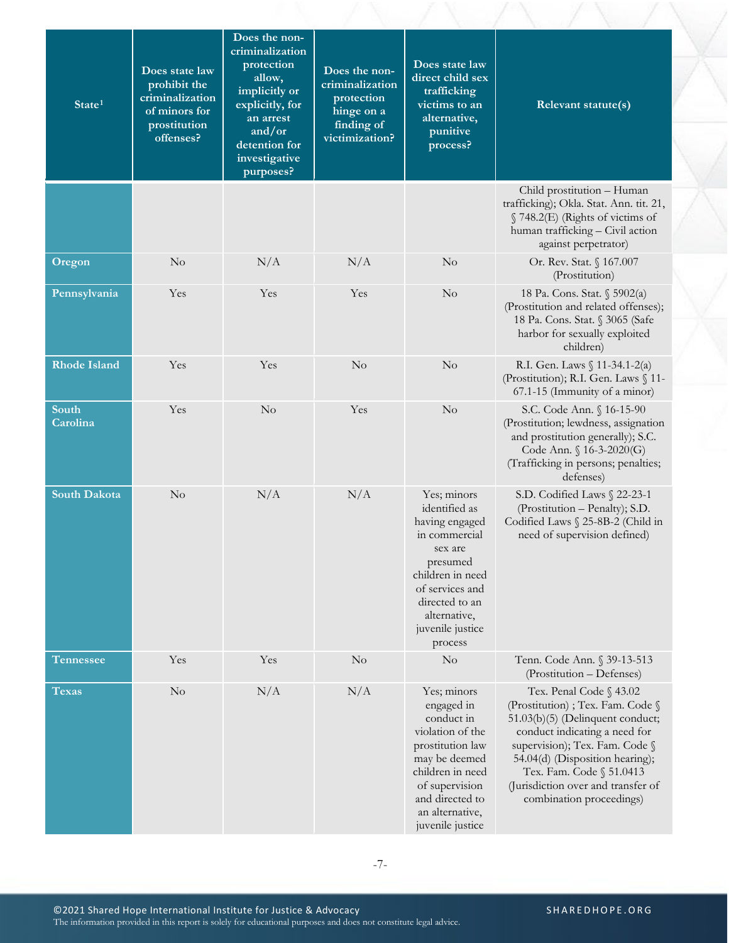| State <sup>1</sup>  | Does state law<br>prohibit the<br>criminalization<br>of minors for<br>prostitution<br>offenses? | Does the non-<br>criminalization<br>protection<br>allow,<br>implicitly or<br>explicitly, for<br>an arrest<br>and/or<br>detention for | Does the non-<br>criminalization<br>protection<br>hinge on a<br>finding of<br>victimization? | Does state law<br>direct child sex<br>trafficking<br>victims to an<br>alternative,<br>punitive<br>process?                                                                                       | Relevant statute(s)                                                                                                                                                                                                                                                                                  |
|---------------------|-------------------------------------------------------------------------------------------------|--------------------------------------------------------------------------------------------------------------------------------------|----------------------------------------------------------------------------------------------|--------------------------------------------------------------------------------------------------------------------------------------------------------------------------------------------------|------------------------------------------------------------------------------------------------------------------------------------------------------------------------------------------------------------------------------------------------------------------------------------------------------|
|                     |                                                                                                 | investigative<br>purposes?                                                                                                           |                                                                                              |                                                                                                                                                                                                  |                                                                                                                                                                                                                                                                                                      |
|                     |                                                                                                 |                                                                                                                                      |                                                                                              |                                                                                                                                                                                                  | Child prostitution - Human<br>trafficking); Okla. Stat. Ann. tit. 21,<br>§ 748.2(E) (Rights of victims of<br>human trafficking - Civil action<br>against perpetrator)                                                                                                                                |
| Oregon              | $\rm No$                                                                                        | N/A                                                                                                                                  | N/A                                                                                          | $\rm No$                                                                                                                                                                                         | Or. Rev. Stat. § 167.007<br>(Prostitution)                                                                                                                                                                                                                                                           |
| Pennsylvania        | Yes                                                                                             | Yes                                                                                                                                  | Yes                                                                                          | $\rm No$                                                                                                                                                                                         | 18 Pa. Cons. Stat. § 5902(a)<br>(Prostitution and related offenses);<br>18 Pa. Cons. Stat. § 3065 (Safe<br>harbor for sexually exploited<br>children)                                                                                                                                                |
| <b>Rhode Island</b> | Yes                                                                                             | Yes                                                                                                                                  | No                                                                                           | No                                                                                                                                                                                               | R.I. Gen. Laws § 11-34.1-2(a)<br>(Prostitution); R.I. Gen. Laws § 11-<br>67.1-15 (Immunity of a minor)                                                                                                                                                                                               |
| South<br>Carolina   | Yes                                                                                             | No                                                                                                                                   | Yes                                                                                          | $\rm No$                                                                                                                                                                                         | S.C. Code Ann. § 16-15-90<br>(Prostitution; lewdness, assignation<br>and prostitution generally); S.C.<br>Code Ann. § 16-3-2020(G)<br>(Trafficking in persons; penalties;<br>defenses)                                                                                                               |
| <b>South Dakota</b> | $\rm No$                                                                                        | N/A                                                                                                                                  | N/A                                                                                          | Yes; minors<br>identified as<br>having engaged<br>in commercial<br>sex are<br>presumed<br>children in need<br>of services and<br>directed to an<br>alternative,<br>juvenile justice<br>process   | S.D. Codified Laws § 22-23-1<br>(Prostitution – Penalty); S.D.<br>Codified Laws § 25-8B-2 (Child in<br>need of supervision defined)                                                                                                                                                                  |
| <b>Tennessee</b>    | Yes                                                                                             | Yes                                                                                                                                  | $\rm No$                                                                                     | $\rm No$                                                                                                                                                                                         | Tenn. Code Ann. § 39-13-513<br>(Prostitution - Defenses)                                                                                                                                                                                                                                             |
| Texas               | $\rm No$                                                                                        | N/A                                                                                                                                  | N/A                                                                                          | Yes; minors<br>engaged in<br>conduct in<br>violation of the<br>prostitution law<br>may be deemed<br>children in need<br>of supervision<br>and directed to<br>an alternative,<br>juvenile justice | Tex. Penal Code § 43.02<br>(Prostitution) ; Tex. Fam. Code §<br>51.03(b)(5) (Delinquent conduct;<br>conduct indicating a need for<br>supervision); Tex. Fam. Code §<br>54.04(d) (Disposition hearing);<br>Tex. Fam. Code § 51.0413<br>(Jurisdiction over and transfer of<br>combination proceedings) |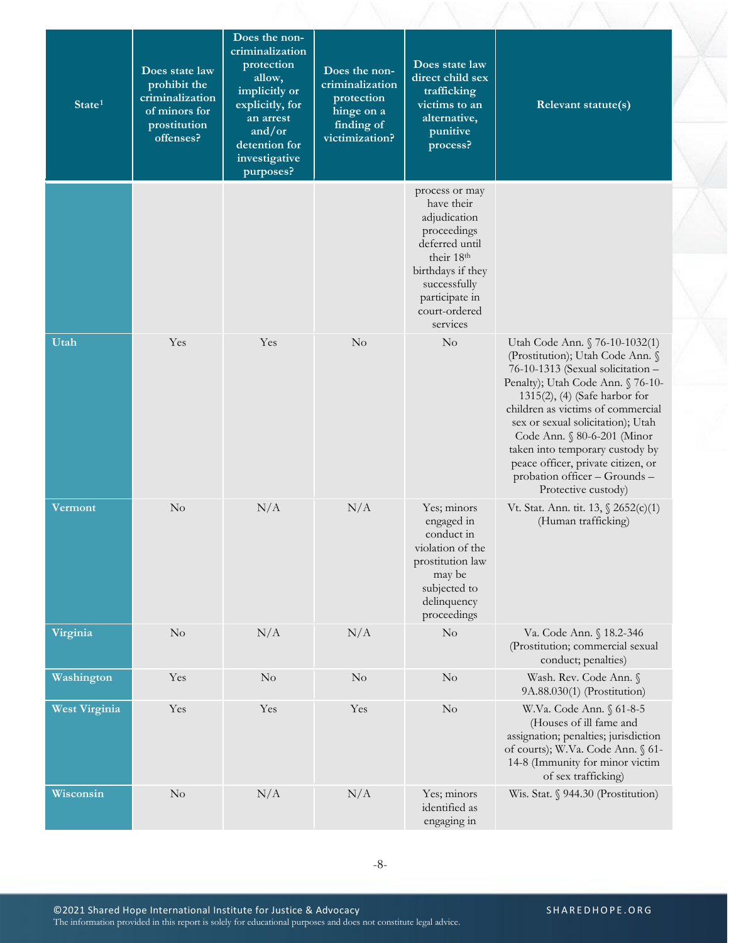| State <sup>1</sup>   | Does state law<br>prohibit the<br>criminalization<br>of minors for<br>prostitution<br>offenses? | Does the non-<br>criminalization<br>protection<br>allow,<br>implicitly or<br>explicitly, for<br>an arrest<br>and/or<br>detention for<br>investigative<br>purposes? | Does the non-<br>criminalization<br>protection<br>hinge on a<br>finding of<br>victimization? | Does state law<br>direct child sex<br>trafficking<br>victims to an<br>alternative,<br>punitive<br>process?                                                                      | Relevant statute(s)                                                                                                                                                                                                                                                                                                                                                                                                        |
|----------------------|-------------------------------------------------------------------------------------------------|--------------------------------------------------------------------------------------------------------------------------------------------------------------------|----------------------------------------------------------------------------------------------|---------------------------------------------------------------------------------------------------------------------------------------------------------------------------------|----------------------------------------------------------------------------------------------------------------------------------------------------------------------------------------------------------------------------------------------------------------------------------------------------------------------------------------------------------------------------------------------------------------------------|
|                      |                                                                                                 |                                                                                                                                                                    |                                                                                              | process or may<br>have their<br>adjudication<br>proceedings<br>deferred until<br>their 18th<br>birthdays if they<br>successfully<br>participate in<br>court-ordered<br>services |                                                                                                                                                                                                                                                                                                                                                                                                                            |
| Utah                 | Yes                                                                                             | Yes                                                                                                                                                                | No                                                                                           | $\rm No$                                                                                                                                                                        | Utah Code Ann. § 76-10-1032(1)<br>(Prostitution); Utah Code Ann. §<br>76-10-1313 (Sexual solicitation -<br>Penalty); Utah Code Ann. § 76-10-<br>$1315(2)$ , (4) (Safe harbor for<br>children as victims of commercial<br>sex or sexual solicitation); Utah<br>Code Ann. § 80-6-201 (Minor<br>taken into temporary custody by<br>peace officer, private citizen, or<br>probation officer - Grounds -<br>Protective custody) |
| <b>Vermont</b>       | $\rm No$                                                                                        | N/A                                                                                                                                                                | N/A                                                                                          | Yes; minors<br>engaged in<br>conduct in<br>violation of the<br>prostitution law<br>may be<br>subjected to<br>delinquency<br>proceedings                                         | Vt. Stat. Ann. tit. 13, § 2652(c)(1)<br>(Human trafficking)                                                                                                                                                                                                                                                                                                                                                                |
| Virginia             | No                                                                                              | N/A                                                                                                                                                                | N/A                                                                                          | $\rm No$                                                                                                                                                                        | Va. Code Ann. § 18.2-346<br>(Prostitution; commercial sexual<br>conduct; penalties)                                                                                                                                                                                                                                                                                                                                        |
| Washington           | Yes                                                                                             | $\rm No$                                                                                                                                                           | $\rm No$                                                                                     | $\rm No$                                                                                                                                                                        | Wash. Rev. Code Ann. §<br>9A.88.030(1) (Prostitution)                                                                                                                                                                                                                                                                                                                                                                      |
| <b>West Virginia</b> | Yes                                                                                             | Yes                                                                                                                                                                | Yes                                                                                          | No                                                                                                                                                                              | W.Va. Code Ann. § 61-8-5<br>(Houses of ill fame and<br>assignation; penalties; jurisdiction<br>of courts); W.Va. Code Ann. § 61-<br>14-8 (Immunity for minor victim<br>of sex trafficking)                                                                                                                                                                                                                                 |
| Wisconsin            | $\rm No$                                                                                        | N/A                                                                                                                                                                | N/A                                                                                          | Yes; minors<br>identified as<br>engaging in                                                                                                                                     | Wis. Stat. § 944.30 (Prostitution)                                                                                                                                                                                                                                                                                                                                                                                         |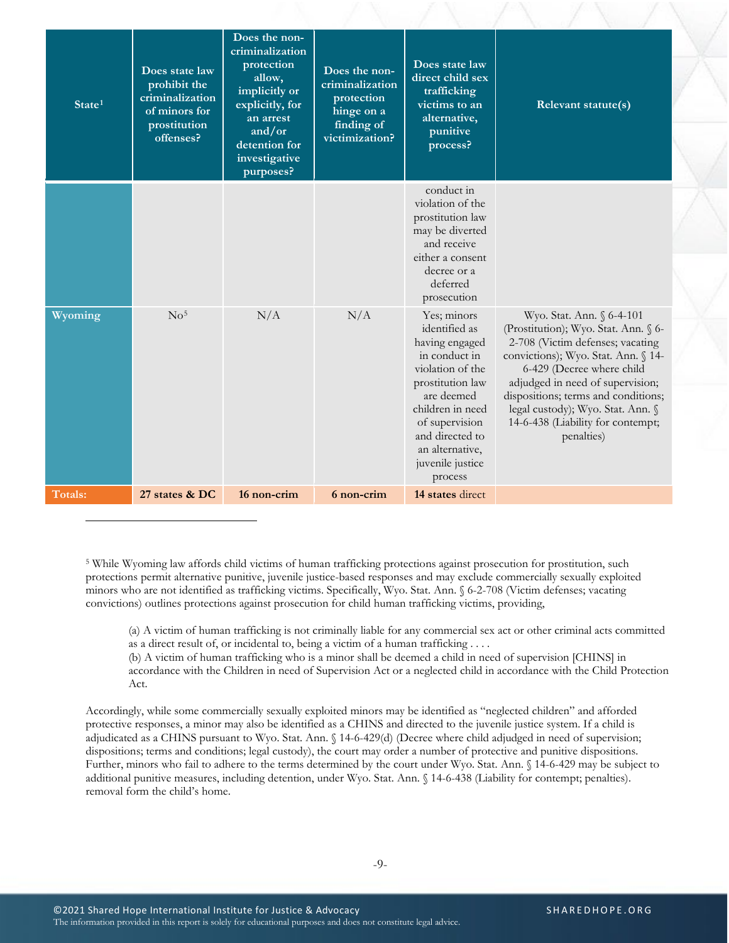| State <sup>1</sup> | Does state law<br>prohibit the<br>criminalization<br>of minors for<br>prostitution<br>offenses? | Does the non-<br>criminalization<br>protection<br>allow,<br>implicitly or<br>explicitly, for<br>an arrest<br>and/or<br>detention for<br>investigative<br>purposes? | Does the non-<br>criminalization<br>protection<br>hinge on a<br>finding of<br>victimization? | Does state law<br>direct child sex<br>trafficking<br>victims to an<br>alternative.<br>punitive<br>process?                                                                                                                       | Relevant statute(s)                                                                                                                                                                                                                                                                                                                          |
|--------------------|-------------------------------------------------------------------------------------------------|--------------------------------------------------------------------------------------------------------------------------------------------------------------------|----------------------------------------------------------------------------------------------|----------------------------------------------------------------------------------------------------------------------------------------------------------------------------------------------------------------------------------|----------------------------------------------------------------------------------------------------------------------------------------------------------------------------------------------------------------------------------------------------------------------------------------------------------------------------------------------|
|                    |                                                                                                 |                                                                                                                                                                    |                                                                                              | conduct in<br>violation of the<br>prostitution law<br>may be diverted<br>and receive<br>either a consent<br>decree or a<br>deferred<br>prosecution                                                                               |                                                                                                                                                                                                                                                                                                                                              |
| Wyoming            | No <sup>5</sup>                                                                                 | N/A                                                                                                                                                                | N/A                                                                                          | Yes; minors<br>identified as<br>having engaged<br>in conduct in<br>violation of the<br>prostitution law<br>are deemed<br>children in need<br>of supervision<br>and directed to<br>an alternative,<br>juvenile justice<br>process | Wyo. Stat. Ann. § 6-4-101<br>(Prostitution); Wyo. Stat. Ann. § 6-<br>2-708 (Victim defenses; vacating<br>convictions); Wyo. Stat. Ann. § 14-<br>6-429 (Decree where child<br>adjudged in need of supervision;<br>dispositions; terms and conditions;<br>legal custody); Wyo. Stat. Ann. §<br>14-6-438 (Liability for contempt;<br>penalties) |
| Totals:            | 27 states & DC                                                                                  | 16 non-crim                                                                                                                                                        | 6 non-crim                                                                                   | 14 states direct                                                                                                                                                                                                                 |                                                                                                                                                                                                                                                                                                                                              |

<span id="page-8-0"></span>5 While Wyoming law affords child victims of human trafficking protections against prosecution for prostitution, such protections permit alternative punitive, juvenile justice-based responses and may exclude commercially sexually exploited minors who are not identified as trafficking victims. Specifically, Wyo. Stat. Ann. § 6-2-708 (Victim defenses; vacating convictions) outlines protections against prosecution for child human trafficking victims, providing,

(a) A victim of human trafficking is not criminally liable for any commercial sex act or other criminal acts committed as a direct result of, or incidental to, being a victim of a human trafficking . . . .

(b) A victim of human trafficking who is a minor shall be deemed a child in need of supervision [CHINS] in accordance with the Children in need of Supervision Act or a neglected child in accordance with the Child Protection Act.

Accordingly, while some commercially sexually exploited minors may be identified as "neglected children" and afforded protective responses, a minor may also be identified as a CHINS and directed to the juvenile justice system. If a child is adjudicated as a CHINS pursuant to Wyo. Stat. Ann. § 14-6-429(d) (Decree where child adjudged in need of supervision; dispositions; terms and conditions; legal custody), the court may order a number of protective and punitive dispositions. Further, minors who fail to adhere to the terms determined by the court under Wyo. Stat. Ann. § 14-6-429 may be subject to additional punitive measures, including detention, under Wyo. Stat. Ann. § 14-6-438 (Liability for contempt; penalties). removal form the child's home.

 $\overline{a}$